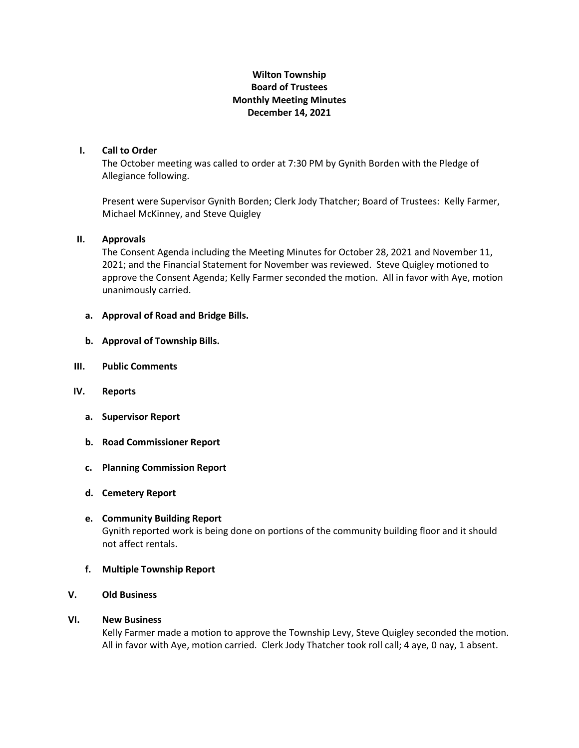# **Wilton Township Board of Trustees Monthly Meeting Minutes December 14, 2021**

## **I. Call to Order**

The October meeting was called to order at 7:30 PM by Gynith Borden with the Pledge of Allegiance following.

Present were Supervisor Gynith Borden; Clerk Jody Thatcher; Board of Trustees: Kelly Farmer, Michael McKinney, and Steve Quigley

## **II. Approvals**

The Consent Agenda including the Meeting Minutes for October 28, 2021 and November 11, 2021; and the Financial Statement for November was reviewed. Steve Quigley motioned to approve the Consent Agenda; Kelly Farmer seconded the motion. All in favor with Aye, motion unanimously carried.

- **a. Approval of Road and Bridge Bills.**
- **b. Approval of Township Bills.**
- **III. Public Comments**
- **IV. Reports**
	- **a. Supervisor Report**
	- **b. Road Commissioner Report**
	- **c. Planning Commission Report**
	- **d. Cemetery Report**
	- **e. Community Building Report** Gynith reported work is being done on portions of the community building floor and it should not affect rentals.
	- **f. Multiple Township Report**
- **V. Old Business**

#### **VI. New Business**

Kelly Farmer made a motion to approve the Township Levy, Steve Quigley seconded the motion. All in favor with Aye, motion carried. Clerk Jody Thatcher took roll call; 4 aye, 0 nay, 1 absent.